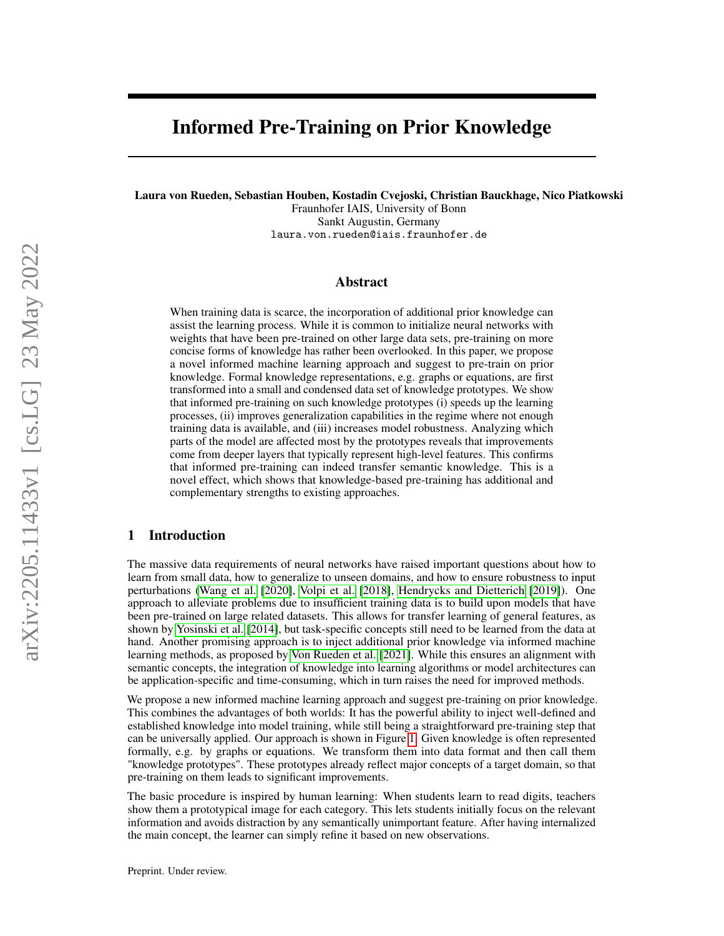# Informed Pre-Training on Prior Knowledge

Laura von Rueden, Sebastian Houben, Kostadin Cvejoski, Christian Bauckhage, Nico Piatkowski

Fraunhofer IAIS, University of Bonn Sankt Augustin, Germany laura.von.rueden@iais.fraunhofer.de

### Abstract

When training data is scarce, the incorporation of additional prior knowledge can assist the learning process. While it is common to initialize neural networks with weights that have been pre-trained on other large data sets, pre-training on more concise forms of knowledge has rather been overlooked. In this paper, we propose a novel informed machine learning approach and suggest to pre-train on prior knowledge. Formal knowledge representations, e.g. graphs or equations, are first transformed into a small and condensed data set of knowledge prototypes. We show that informed pre-training on such knowledge prototypes (i) speeds up the learning processes, (ii) improves generalization capabilities in the regime where not enough training data is available, and (iii) increases model robustness. Analyzing which parts of the model are affected most by the prototypes reveals that improvements come from deeper layers that typically represent high-level features. This confirms that informed pre-training can indeed transfer semantic knowledge. This is a novel effect, which shows that knowledge-based pre-training has additional and complementary strengths to existing approaches.

# 1 Introduction

The massive data requirements of neural networks have raised important questions about how to learn from small data, how to generalize to unseen domains, and how to ensure robustness to input perturbations [\(Wang et al.](#page-11-0) [\[2020\]](#page-11-0), [Volpi et al.](#page-11-1) [\[2018\]](#page-11-1), [Hendrycks and Dietterich](#page-9-0) [\[2019\]](#page-9-0)). One approach to alleviate problems due to insufficient training data is to build upon models that have been pre-trained on large related datasets. This allows for transfer learning of general features, as shown by [Yosinski et al.](#page-11-2) [\[2014\]](#page-11-2), but task-specific concepts still need to be learned from the data at hand. Another promising approach is to inject additional prior knowledge via informed machine learning methods, as proposed by [Von Rueden et al.](#page-11-3) [\[2021\]](#page-11-3). While this ensures an alignment with semantic concepts, the integration of knowledge into learning algorithms or model architectures can be application-specific and time-consuming, which in turn raises the need for improved methods.

We propose a new informed machine learning approach and suggest pre-training on prior knowledge. This combines the advantages of both worlds: It has the powerful ability to inject well-defined and established knowledge into model training, while still being a straightforward pre-training step that can be universally applied. Our approach is shown in Figure [1.](#page-1-0) Given knowledge is often represented formally, e.g. by graphs or equations. We transform them into data format and then call them "knowledge prototypes". These prototypes already reflect major concepts of a target domain, so that pre-training on them leads to significant improvements.

The basic procedure is inspired by human learning: When students learn to read digits, teachers show them a prototypical image for each category. This lets students initially focus on the relevant information and avoids distraction by any semantically unimportant feature. After having internalized the main concept, the learner can simply refine it based on new observations.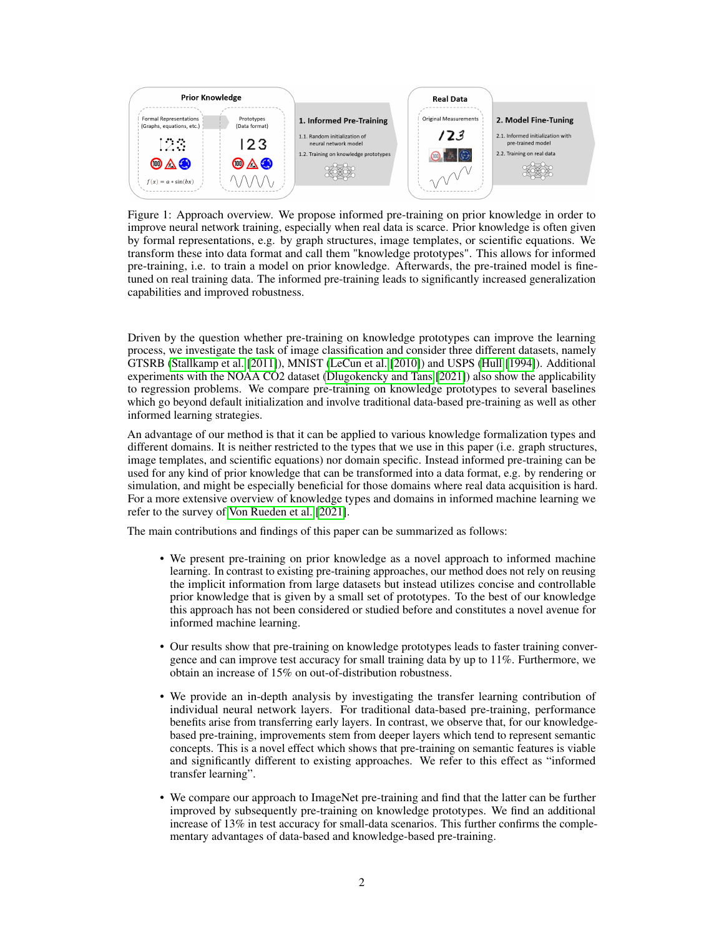<span id="page-1-0"></span>

Figure 1: Approach overview. We propose informed pre-training on prior knowledge in order to improve neural network training, especially when real data is scarce. Prior knowledge is often given by formal representations, e.g. by graph structures, image templates, or scientific equations. We transform these into data format and call them "knowledge prototypes". This allows for informed pre-training, i.e. to train a model on prior knowledge. Afterwards, the pre-trained model is finetuned on real training data. The informed pre-training leads to significantly increased generalization capabilities and improved robustness.

Driven by the question whether pre-training on knowledge prototypes can improve the learning process, we investigate the task of image classification and consider three different datasets, namely GTSRB [\(Stallkamp et al.](#page-10-0) [\[2011\]](#page-10-0)), MNIST [\(LeCun et al.](#page-10-1) [\[2010\]](#page-10-1)) and USPS [\(Hull](#page-9-1) [\[1994\]](#page-9-1)). Additional experiments with the NOAA CO2 dataset [\(Dlugokencky and Tans](#page-9-2) [\[2021\]](#page-9-2)) also show the applicability to regression problems. We compare pre-training on knowledge prototypes to several baselines which go beyond default initialization and involve traditional data-based pre-training as well as other informed learning strategies.

An advantage of our method is that it can be applied to various knowledge formalization types and different domains. It is neither restricted to the types that we use in this paper (i.e. graph structures, image templates, and scientific equations) nor domain specific. Instead informed pre-training can be used for any kind of prior knowledge that can be transformed into a data format, e.g. by rendering or simulation, and might be especially beneficial for those domains where real data acquisition is hard. For a more extensive overview of knowledge types and domains in informed machine learning we refer to the survey of [Von Rueden et al.](#page-11-3) [\[2021\]](#page-11-3).

The main contributions and findings of this paper can be summarized as follows:

- We present pre-training on prior knowledge as a novel approach to informed machine learning. In contrast to existing pre-training approaches, our method does not rely on reusing the implicit information from large datasets but instead utilizes concise and controllable prior knowledge that is given by a small set of prototypes. To the best of our knowledge this approach has not been considered or studied before and constitutes a novel avenue for informed machine learning.
- Our results show that pre-training on knowledge prototypes leads to faster training convergence and can improve test accuracy for small training data by up to 11%. Furthermore, we obtain an increase of 15% on out-of-distribution robustness.
- We provide an in-depth analysis by investigating the transfer learning contribution of individual neural network layers. For traditional data-based pre-training, performance benefits arise from transferring early layers. In contrast, we observe that, for our knowledgebased pre-training, improvements stem from deeper layers which tend to represent semantic concepts. This is a novel effect which shows that pre-training on semantic features is viable and significantly different to existing approaches. We refer to this effect as "informed transfer learning".
- We compare our approach to ImageNet pre-training and find that the latter can be further improved by subsequently pre-training on knowledge prototypes. We find an additional increase of 13% in test accuracy for small-data scenarios. This further confirms the complementary advantages of data-based and knowledge-based pre-training.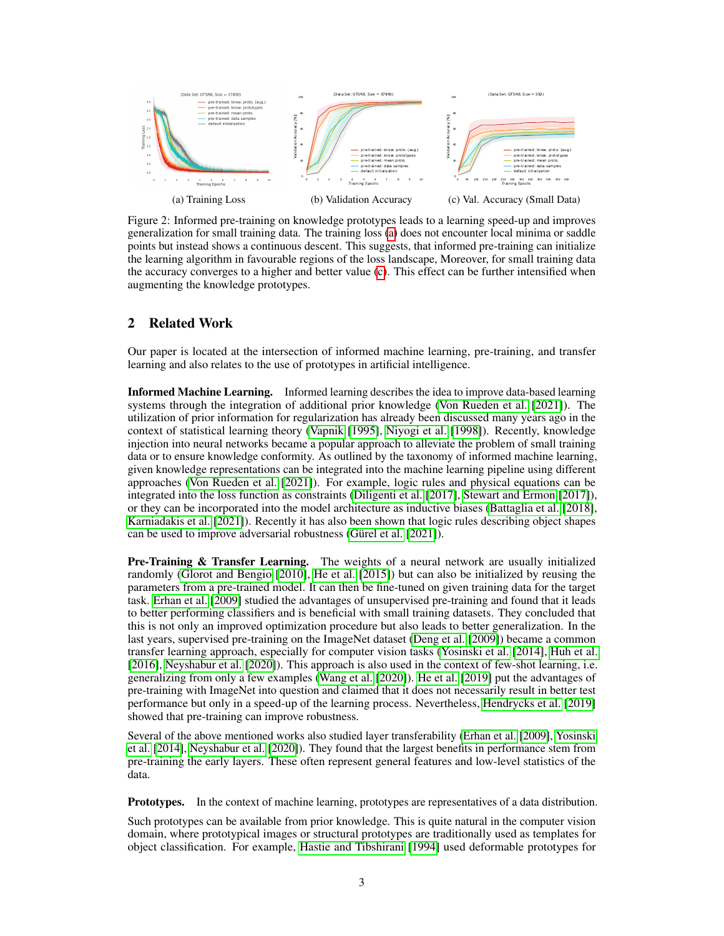<span id="page-2-0"></span>

Figure 2: Informed pre-training on knowledge prototypes leads to a learning speed-up and improves generalization for small training data. The training loss [\(a\)](#page-2-0) does not encounter local minima or saddle points but instead shows a continuous descent. This suggests, that informed pre-training can initialize the learning algorithm in favourable regions of the loss landscape, Moreover, for small training data the accuracy converges to a higher and better value [\(c\)](#page-2-0). This effect can be further intensified when augmenting the knowledge prototypes.

# 2 Related Work

Our paper is located at the intersection of informed machine learning, pre-training, and transfer learning and also relates to the use of prototypes in artificial intelligence.

Informed Machine Learning. Informed learning describes the idea to improve data-based learning systems through the integration of additional prior knowledge [\(Von Rueden et al.](#page-11-3) [\[2021\]](#page-11-3)). The utilization of prior information for regularization has already been discussed many years ago in the context of statistical learning theory [\(Vapnik](#page-10-2) [\[1995\]](#page-10-2), [Niyogi et al.](#page-10-3) [\[1998\]](#page-10-3)). Recently, knowledge injection into neural networks became a popular approach to alleviate the problem of small training data or to ensure knowledge conformity. As outlined by the taxonomy of informed machine learning, given knowledge representations can be integrated into the machine learning pipeline using different approaches [\(Von Rueden et al.](#page-11-3) [\[2021\]](#page-11-3)). For example, logic rules and physical equations can be integrated into the loss function as constraints [\(Diligenti et al.](#page-9-3) [\[2017\]](#page-9-3), [Stewart and Ermon](#page-10-4) [\[2017\]](#page-10-4)), or they can be incorporated into the model architecture as inductive biases [\(Battaglia et al.](#page-9-4) [\[2018\]](#page-9-4), [Karniadakis et al.](#page-10-5) [\[2021\]](#page-10-5)). Recently it has also been shown that logic rules describing object shapes can be used to improve adversarial robustness [\(Gürel et al.](#page-9-5) [\[2021\]](#page-9-5)).

Pre-Training & Transfer Learning. The weights of a neural network are usually initialized randomly [\(Glorot and Bengio](#page-9-6) [\[2010\]](#page-9-6), [He et al.](#page-9-7) [\[2015\]](#page-9-7)) but can also be initialized by reusing the parameters from a pre-trained model. It can then be fine-tuned on given training data for the target task. [Erhan et al.](#page-9-8) [\[2009\]](#page-9-8) studied the advantages of unsupervised pre-training and found that it leads to better performing classifiers and is beneficial with small training datasets. They concluded that this is not only an improved optimization procedure but also leads to better generalization. In the last years, supervised pre-training on the ImageNet dataset [\(Deng et al.](#page-9-9) [\[2009\]](#page-9-9)) became a common transfer learning approach, especially for computer vision tasks [\(Yosinski et al.](#page-11-2) [\[2014\]](#page-11-2), [Huh et al.](#page-9-10) [\[2016\]](#page-9-10), [Neyshabur et al.](#page-10-6) [\[2020\]](#page-10-6)). This approach is also used in the context of few-shot learning, i.e. generalizing from only a few examples [\(Wang et al.](#page-11-0) [\[2020\]](#page-11-0)). [He et al.](#page-9-11) [\[2019\]](#page-9-11) put the advantages of pre-training with ImageNet into question and claimed that it does not necessarily result in better test performance but only in a speed-up of the learning process. Nevertheless, [Hendrycks et al.](#page-9-12) [\[2019\]](#page-9-12) showed that pre-training can improve robustness.

Several of the above mentioned works also studied layer transferability [\(Erhan et al.](#page-9-8) [\[2009\]](#page-9-8), [Yosinski](#page-11-2) [et al.](#page-11-2) [\[2014\]](#page-11-2), [Neyshabur et al.](#page-10-6) [\[2020\]](#page-10-6)). They found that the largest benefits in performance stem from pre-training the early layers. These often represent general features and low-level statistics of the data.

Prototypes. In the context of machine learning, prototypes are representatives of a data distribution.

Such prototypes can be available from prior knowledge. This is quite natural in the computer vision domain, where prototypical images or structural prototypes are traditionally used as templates for object classification. For example, [Hastie and Tibshirani](#page-9-13) [\[1994\]](#page-9-13) used deformable prototypes for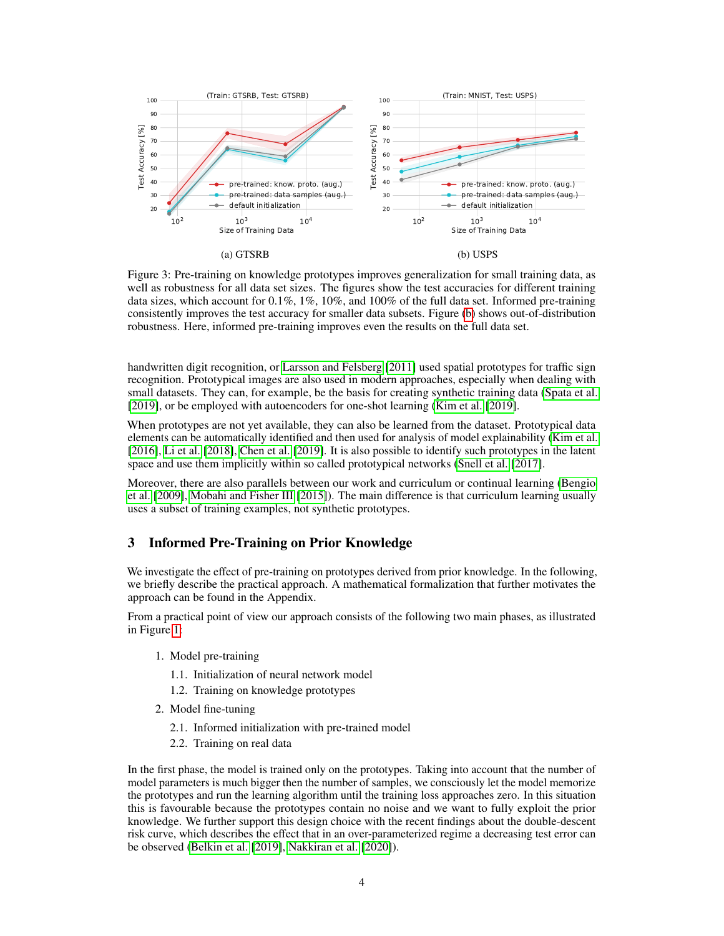<span id="page-3-0"></span>

Figure 3: Pre-training on knowledge prototypes improves generalization for small training data, as well as robustness for all data set sizes. The figures show the test accuracies for different training data sizes, which account for  $0.1\%, 1\%, 10\%$ , and  $100\%$  of the full data set. Informed pre-training consistently improves the test accuracy for smaller data subsets. Figure [\(b\)](#page-3-0) shows out-of-distribution robustness. Here, informed pre-training improves even the results on the full data set.

handwritten digit recognition, or [Larsson and Felsberg](#page-10-7) [\[2011\]](#page-10-7) used spatial prototypes for traffic sign recognition. Prototypical images are also used in modern approaches, especially when dealing with small datasets. They can, for example, be the basis for creating synthetic training data [\(Spata et al.](#page-10-8) [\[2019\]](#page-10-8), or be employed with autoencoders for one-shot learning [\(Kim et al.](#page-10-9) [\[2019\]](#page-10-9).

When prototypes are not yet available, they can also be learned from the dataset. Prototypical data elements can be automatically identified and then used for analysis of model explainability [\(Kim et al.](#page-10-10) [\[2016\]](#page-10-10), [Li et al.](#page-10-11) [\[2018\]](#page-10-11), [Chen et al.](#page-9-14) [\[2019\]](#page-9-14). It is also possible to identify such prototypes in the latent space and use them implicitly within so called prototypical networks [\(Snell et al.](#page-10-12) [\[2017\]](#page-10-12).

Moreover, there are also parallels between our work and curriculum or continual learning [\(Bengio](#page-9-15) [et al.](#page-9-15) [\[2009\]](#page-9-15), [Mobahi and Fisher III](#page-10-13) [\[2015\]](#page-10-13)). The main difference is that curriculum learning usually uses a subset of training examples, not synthetic prototypes.

## 3 Informed Pre-Training on Prior Knowledge

We investigate the effect of pre-training on prototypes derived from prior knowledge. In the following, we briefly describe the practical approach. A mathematical formalization that further motivates the approach can be found in the Appendix.

From a practical point of view our approach consists of the following two main phases, as illustrated in Figure [1:](#page-1-0)

- 1. Model pre-training
	- 1.1. Initialization of neural network model
	- 1.2. Training on knowledge prototypes
- 2. Model fine-tuning
	- 2.1. Informed initialization with pre-trained model
	- 2.2. Training on real data

In the first phase, the model is trained only on the prototypes. Taking into account that the number of model parameters is much bigger then the number of samples, we consciously let the model memorize the prototypes and run the learning algorithm until the training loss approaches zero. In this situation this is favourable because the prototypes contain no noise and we want to fully exploit the prior knowledge. We further support this design choice with the recent findings about the double-descent risk curve, which describes the effect that in an over-parameterized regime a decreasing test error can be observed [\(Belkin et al.](#page-9-16) [\[2019\]](#page-9-16), [Nakkiran et al.](#page-10-14) [\[2020\]](#page-10-14)).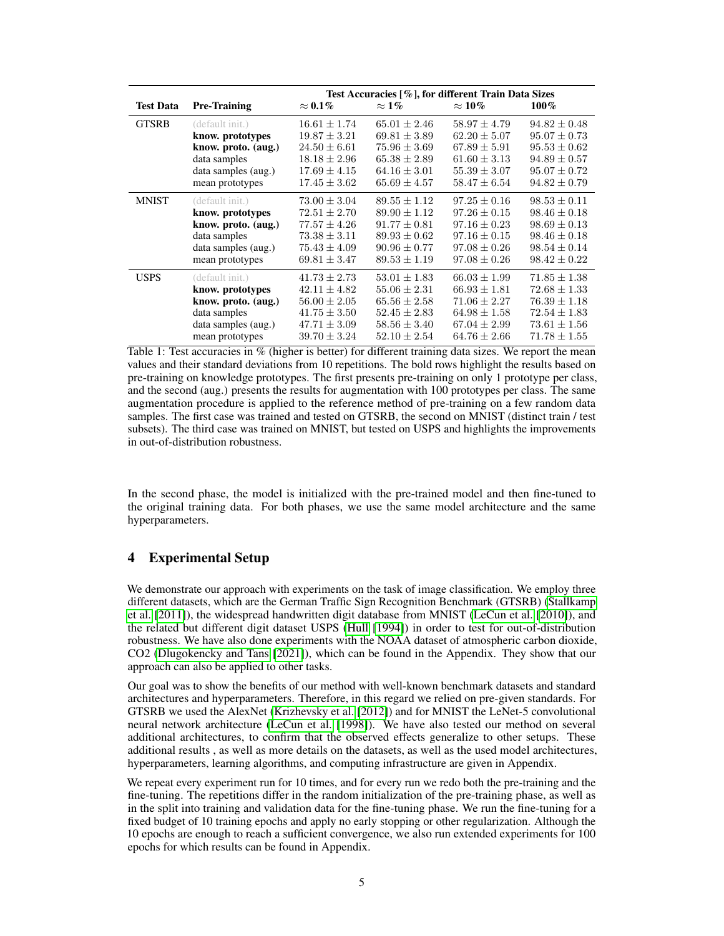<span id="page-4-0"></span>

|                  |                     | Test Accuracies [%], for different Train Data Sizes |                  |                  |                  |  |
|------------------|---------------------|-----------------------------------------------------|------------------|------------------|------------------|--|
| <b>Test Data</b> | <b>Pre-Training</b> | $\approx 0.1\%$                                     | $\approx$ 1%     | $\approx 10\%$   | $100\%$          |  |
| <b>GTSRB</b>     | (default init.)     | $16.61 \pm 1.74$                                    | $65.01 \pm 2.46$ | $58.97 \pm 4.79$ | $94.82 \pm 0.48$ |  |
|                  | know. prototypes    | $19.87 \pm 3.21$                                    | $69.81 \pm 3.89$ | $62.20 \pm 5.07$ | $95.07 \pm 0.73$ |  |
|                  | know. proto. (aug.) | $24.50 \pm 6.61$                                    | $75.96 \pm 3.69$ | $67.89 \pm 5.91$ | $95.53 \pm 0.62$ |  |
|                  | data samples        | $18.18 \pm 2.96$                                    | $65.38 \pm 2.89$ | $61.60 \pm 3.13$ | $94.89 \pm 0.57$ |  |
|                  | data samples (aug.) | $17.69 \pm 4.15$                                    | $64.16 \pm 3.01$ | $55.39 \pm 3.07$ | $95.07 \pm 0.72$ |  |
|                  | mean prototypes     | $17.45 \pm 3.62$                                    | $65.69 \pm 4.57$ | $58.47 \pm 6.54$ | $94.82 \pm 0.79$ |  |
| <b>MNIST</b>     | (default init.)     | $73.00 \pm 3.04$                                    | $89.55 \pm 1.12$ | $97.25 \pm 0.16$ | $98.53 \pm 0.11$ |  |
|                  | know. prototypes    | $72.51 \pm 2.70$                                    | $89.90 \pm 1.12$ | $97.26 \pm 0.15$ | $98.46 \pm 0.18$ |  |
|                  | know. proto. (aug.) | $77.57 \pm 4.26$                                    | $91.77 \pm 0.81$ | $97.16 \pm 0.23$ | $98.69 \pm 0.13$ |  |
|                  | data samples        | $73.38 \pm 3.11$                                    | $89.93 \pm 0.62$ | $97.16 \pm 0.15$ | $98.46 \pm 0.18$ |  |
|                  | data samples (aug.) | $75.43 \pm 4.09$                                    | $90.96 \pm 0.77$ | $97.08 \pm 0.26$ | $98.54 \pm 0.14$ |  |
|                  | mean prototypes     | $69.81 \pm 3.47$                                    | $89.53 \pm 1.19$ | $97.08 \pm 0.26$ | $98.42 \pm 0.22$ |  |
| <b>USPS</b>      | (default init.)     | $41.73 \pm 2.73$                                    | $53.01 \pm 1.83$ | $66.03 \pm 1.99$ | $71.85 \pm 1.38$ |  |
|                  | know. prototypes    | $42.11 \pm 4.82$                                    | $55.06 \pm 2.31$ | $66.93 \pm 1.81$ | $72.68 \pm 1.33$ |  |
|                  | know. proto. (aug.) | $56.00 \pm 2.05$                                    | $65.56 \pm 2.58$ | $71.06 \pm 2.27$ | $76.39 \pm 1.18$ |  |
|                  | data samples        | $41.75 \pm 3.50$                                    | $52.45 \pm 2.83$ | $64.98 \pm 1.58$ | $72.54 \pm 1.83$ |  |
|                  | data samples (aug.) | $47.71 \pm 3.09$                                    | $58.56 \pm 3.40$ | $67.04 \pm 2.99$ | $73.61 \pm 1.56$ |  |
|                  | mean prototypes     | $39.70 \pm 3.24$                                    | $52.10 \pm 2.54$ | $64.76 \pm 2.66$ | $71.78 \pm 1.55$ |  |

Table 1: Test accuracies in % (higher is better) for different training data sizes. We report the mean values and their standard deviations from 10 repetitions. The bold rows highlight the results based on pre-training on knowledge prototypes. The first presents pre-training on only 1 prototype per class, and the second (aug.) presents the results for augmentation with 100 prototypes per class. The same augmentation procedure is applied to the reference method of pre-training on a few random data samples. The first case was trained and tested on GTSRB, the second on MNIST (distinct train / test subsets). The third case was trained on MNIST, but tested on USPS and highlights the improvements in out-of-distribution robustness.

In the second phase, the model is initialized with the pre-trained model and then fine-tuned to the original training data. For both phases, we use the same model architecture and the same hyperparameters.

# 4 Experimental Setup

We demonstrate our approach with experiments on the task of image classification. We employ three different datasets, which are the German Traffic Sign Recognition Benchmark (GTSRB) [\(Stallkamp](#page-10-0) [et al.](#page-10-0) [\[2011\]](#page-10-0)), the widespread handwritten digit database from MNIST [\(LeCun et al.](#page-10-1) [\[2010\]](#page-10-1)), and the related but different digit dataset USPS [\(Hull](#page-9-1) [\[1994\]](#page-9-1)) in order to test for out-of-distribution robustness. We have also done experiments with the NOAA dataset of atmospheric carbon dioxide, CO2 [\(Dlugokencky and Tans](#page-9-2) [\[2021\]](#page-9-2)), which can be found in the Appendix. They show that our approach can also be applied to other tasks.

Our goal was to show the benefits of our method with well-known benchmark datasets and standard architectures and hyperparameters. Therefore, in this regard we relied on pre-given standards. For GTSRB we used the AlexNet [\(Krizhevsky et al.](#page-10-15) [\[2012\]](#page-10-15)) and for MNIST the LeNet-5 convolutional neural network architecture [\(LeCun et al.](#page-10-16) [\[1998\]](#page-10-16)). We have also tested our method on several additional architectures, to confirm that the observed effects generalize to other setups. These additional results , as well as more details on the datasets, as well as the used model architectures, hyperparameters, learning algorithms, and computing infrastructure are given in Appendix.

We repeat every experiment run for 10 times, and for every run we redo both the pre-training and the fine-tuning. The repetitions differ in the random initialization of the pre-training phase, as well as in the split into training and validation data for the fine-tuning phase. We run the fine-tuning for a fixed budget of 10 training epochs and apply no early stopping or other regularization. Although the 10 epochs are enough to reach a sufficient convergence, we also run extended experiments for 100 epochs for which results can be found in Appendix.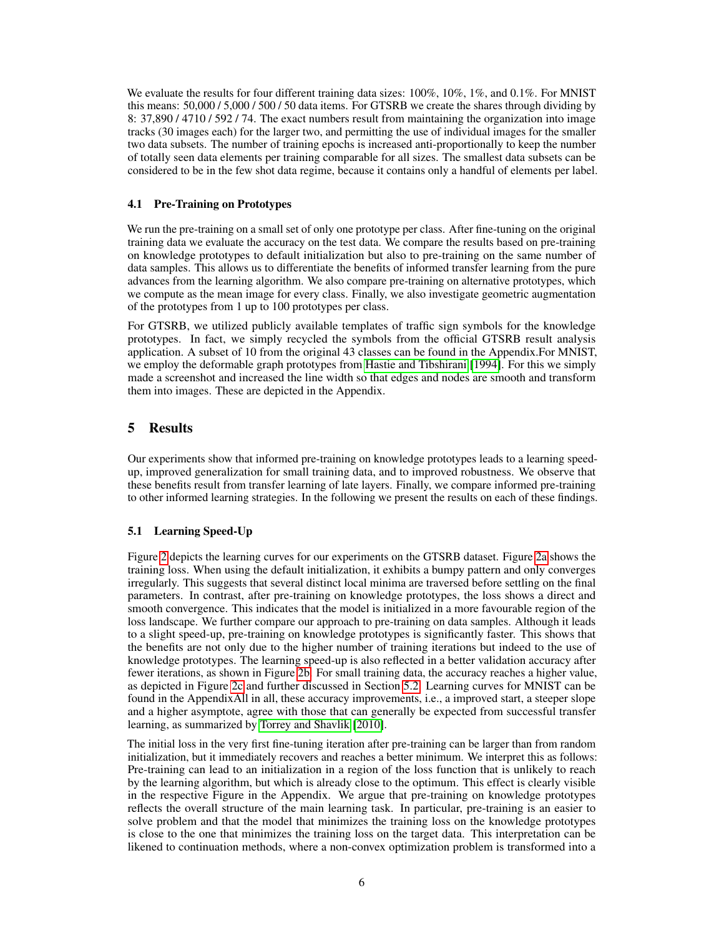We evaluate the results for four different training data sizes:  $100\%$ ,  $10\%$ ,  $1\%$ , and  $0.1\%$ . For MNIST this means: 50,000 / 5,000 / 500 / 50 data items. For GTSRB we create the shares through dividing by 8: 37,890 / 4710 / 592 / 74. The exact numbers result from maintaining the organization into image tracks (30 images each) for the larger two, and permitting the use of individual images for the smaller two data subsets. The number of training epochs is increased anti-proportionally to keep the number of totally seen data elements per training comparable for all sizes. The smallest data subsets can be considered to be in the few shot data regime, because it contains only a handful of elements per label.

# 4.1 Pre-Training on Prototypes

We run the pre-training on a small set of only one prototype per class. After fine-tuning on the original training data we evaluate the accuracy on the test data. We compare the results based on pre-training on knowledge prototypes to default initialization but also to pre-training on the same number of data samples. This allows us to differentiate the benefits of informed transfer learning from the pure advances from the learning algorithm. We also compare pre-training on alternative prototypes, which we compute as the mean image for every class. Finally, we also investigate geometric augmentation of the prototypes from 1 up to 100 prototypes per class.

For GTSRB, we utilized publicly available templates of traffic sign symbols for the knowledge prototypes. In fact, we simply recycled the symbols from the official GTSRB result analysis application. A subset of 10 from the original 43 classes can be found in the Appendix.For MNIST, we employ the deformable graph prototypes from [Hastie and Tibshirani](#page-9-13) [\[1994\]](#page-9-13). For this we simply made a screenshot and increased the line width so that edges and nodes are smooth and transform them into images. These are depicted in the Appendix.

# 5 Results

Our experiments show that informed pre-training on knowledge prototypes leads to a learning speedup, improved generalization for small training data, and to improved robustness. We observe that these benefits result from transfer learning of late layers. Finally, we compare informed pre-training to other informed learning strategies. In the following we present the results on each of these findings.

# 5.1 Learning Speed-Up

Figure [2](#page-2-0) depicts the learning curves for our experiments on the GTSRB dataset. Figure [2a](#page-2-0) shows the training loss. When using the default initialization, it exhibits a bumpy pattern and only converges irregularly. This suggests that several distinct local minima are traversed before settling on the final parameters. In contrast, after pre-training on knowledge prototypes, the loss shows a direct and smooth convergence. This indicates that the model is initialized in a more favourable region of the loss landscape. We further compare our approach to pre-training on data samples. Although it leads to a slight speed-up, pre-training on knowledge prototypes is significantly faster. This shows that the benefits are not only due to the higher number of training iterations but indeed to the use of knowledge prototypes. The learning speed-up is also reflected in a better validation accuracy after fewer iterations, as shown in Figure [2b.](#page-2-0) For small training data, the accuracy reaches a higher value, as depicted in Figure [2c](#page-2-0) and further discussed in Section [5.2.](#page-6-0) Learning curves for MNIST can be found in the AppendixAll in all, these accuracy improvements, i.e., a improved start, a steeper slope and a higher asymptote, agree with those that can generally be expected from successful transfer learning, as summarized by [Torrey and Shavlik](#page-10-17) [\[2010\]](#page-10-17).

The initial loss in the very first fine-tuning iteration after pre-training can be larger than from random initialization, but it immediately recovers and reaches a better minimum. We interpret this as follows: Pre-training can lead to an initialization in a region of the loss function that is unlikely to reach by the learning algorithm, but which is already close to the optimum. This effect is clearly visible in the respective Figure in the Appendix. We argue that pre-training on knowledge prototypes reflects the overall structure of the main learning task. In particular, pre-training is an easier to solve problem and that the model that minimizes the training loss on the knowledge prototypes is close to the one that minimizes the training loss on the target data. This interpretation can be likened to continuation methods, where a non-convex optimization problem is transformed into a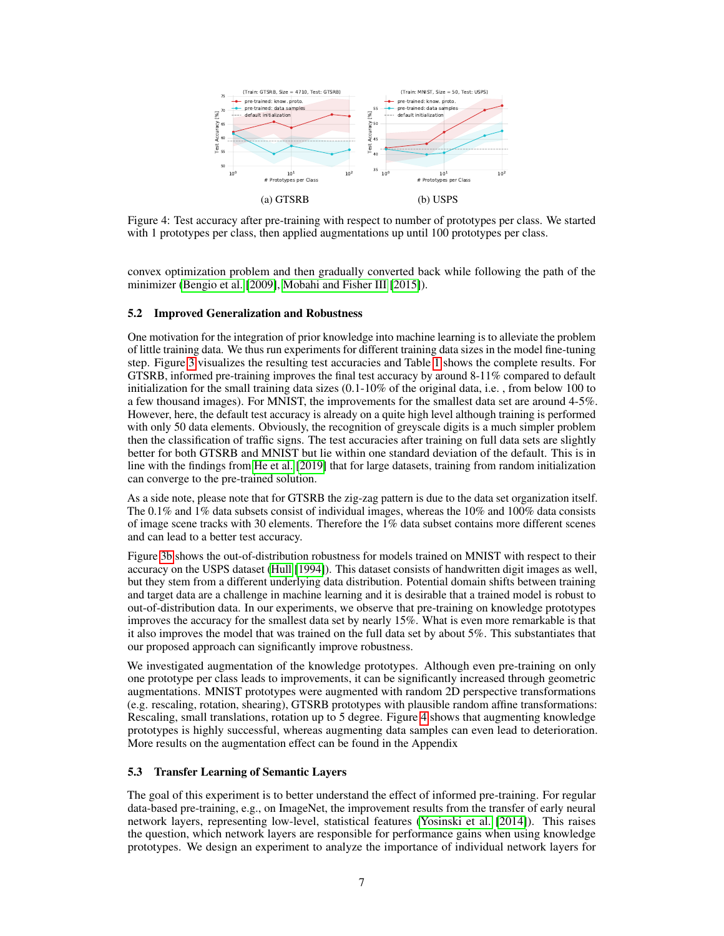<span id="page-6-1"></span>

Figure 4: Test accuracy after pre-training with respect to number of prototypes per class. We started with 1 prototypes per class, then applied augmentations up until 100 prototypes per class.

convex optimization problem and then gradually converted back while following the path of the minimizer [\(Bengio et al.](#page-9-15) [\[2009\]](#page-9-15), [Mobahi and Fisher III](#page-10-13) [\[2015\]](#page-10-13)).

#### <span id="page-6-0"></span>5.2 Improved Generalization and Robustness

One motivation for the integration of prior knowledge into machine learning is to alleviate the problem of little training data. We thus run experiments for different training data sizes in the model fine-tuning step. Figure [3](#page-3-0) visualizes the resulting test accuracies and Table [1](#page-4-0) shows the complete results. For GTSRB, informed pre-training improves the final test accuracy by around 8-11% compared to default initialization for the small training data sizes (0.1-10% of the original data, i.e. , from below 100 to a few thousand images). For MNIST, the improvements for the smallest data set are around 4-5%. However, here, the default test accuracy is already on a quite high level although training is performed with only 50 data elements. Obviously, the recognition of greyscale digits is a much simpler problem then the classification of traffic signs. The test accuracies after training on full data sets are slightly better for both GTSRB and MNIST but lie within one standard deviation of the default. This is in line with the findings from [He et al.](#page-9-11) [\[2019\]](#page-9-11) that for large datasets, training from random initialization can converge to the pre-trained solution.

As a side note, please note that for GTSRB the zig-zag pattern is due to the data set organization itself. The 0.1% and 1% data subsets consist of individual images, whereas the 10% and 100% data consists of image scene tracks with 30 elements. Therefore the 1% data subset contains more different scenes and can lead to a better test accuracy.

Figure [3b](#page-3-0) shows the out-of-distribution robustness for models trained on MNIST with respect to their accuracy on the USPS dataset [\(Hull](#page-9-1) [\[1994\]](#page-9-1)). This dataset consists of handwritten digit images as well, but they stem from a different underlying data distribution. Potential domain shifts between training and target data are a challenge in machine learning and it is desirable that a trained model is robust to out-of-distribution data. In our experiments, we observe that pre-training on knowledge prototypes improves the accuracy for the smallest data set by nearly 15%. What is even more remarkable is that it also improves the model that was trained on the full data set by about 5%. This substantiates that our proposed approach can significantly improve robustness.

We investigated augmentation of the knowledge prototypes. Although even pre-training on only one prototype per class leads to improvements, it can be significantly increased through geometric augmentations. MNIST prototypes were augmented with random 2D perspective transformations (e.g. rescaling, rotation, shearing), GTSRB prototypes with plausible random affine transformations: Rescaling, small translations, rotation up to 5 degree. Figure [4](#page-6-1) shows that augmenting knowledge prototypes is highly successful, whereas augmenting data samples can even lead to deterioration. More results on the augmentation effect can be found in the Appendix

### 5.3 Transfer Learning of Semantic Layers

The goal of this experiment is to better understand the effect of informed pre-training. For regular data-based pre-training, e.g., on ImageNet, the improvement results from the transfer of early neural network layers, representing low-level, statistical features [\(Yosinski et al.](#page-11-2) [\[2014\]](#page-11-2)). This raises the question, which network layers are responsible for performance gains when using knowledge prototypes. We design an experiment to analyze the importance of individual network layers for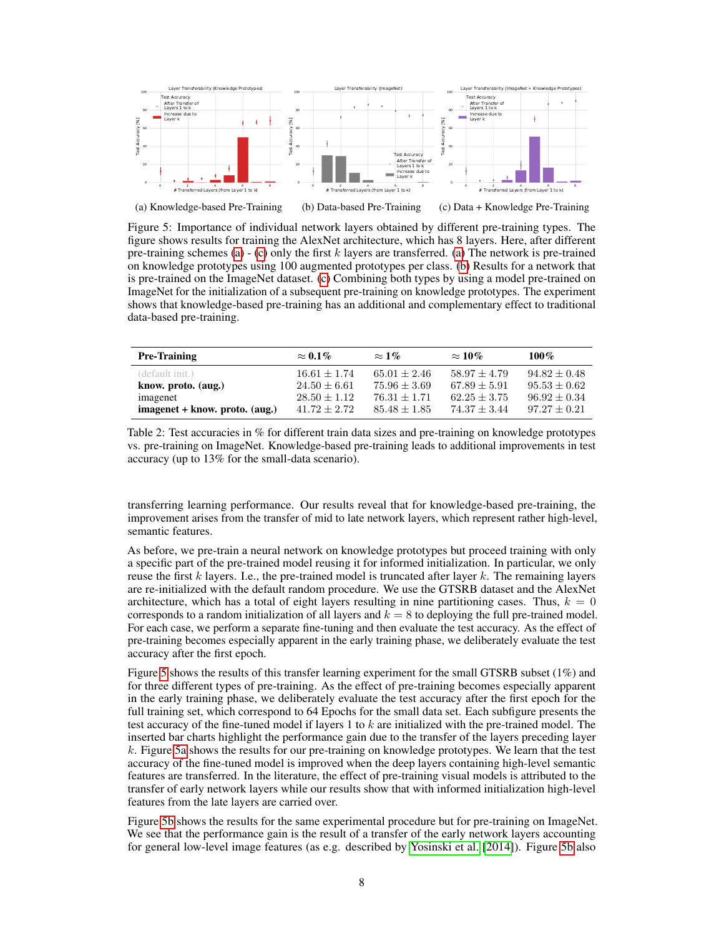<span id="page-7-0"></span>

Figure 5: Importance of individual network layers obtained by different pre-training types. The figure shows results for training the AlexNet architecture, which has 8 layers. Here, after different pre-training schemes [\(a\)](#page-7-0)  $-$  [\(c\)](#page-7-0) only the first k layers are transferred. (a) The network is pre-trained on knowledge prototypes using 100 augmented prototypes per class. [\(b\)](#page-7-0) Results for a network that is pre-trained on the ImageNet dataset. [\(c\)](#page-7-0) Combining both types by using a model pre-trained on ImageNet for the initialization of a subsequent pre-training on knowledge prototypes. The experiment shows that knowledge-based pre-training has an additional and complementary effect to traditional data-based pre-training.

<span id="page-7-1"></span>

| <b>Pre-Training</b>            | $\approx 0.1\%$ | $\approx$ 1%   | $\approx 10\%$ | $100\%$        |
|--------------------------------|-----------------|----------------|----------------|----------------|
| (default init.)                | $16.61 + 1.74$  | $65.01 + 2.46$ | $58.97 + 4.79$ | $94.82 + 0.48$ |
| know. proto. (aug.)            | $24.50 + 6.61$  | $75.96 + 3.69$ | $67.89 + 5.91$ | $95.53 + 0.62$ |
| imagenet                       | $28.50 + 1.12$  | $76.31 + 1.71$ | $62.25 + 3.75$ | $96.92 + 0.34$ |
| imagenet + know. proto. (aug.) | $41.72 + 2.72$  | $85.48 + 1.85$ | $74.37 + 3.44$ | $97.27 + 0.21$ |

Table 2: Test accuracies in % for different train data sizes and pre-training on knowledge prototypes vs. pre-training on ImageNet. Knowledge-based pre-training leads to additional improvements in test accuracy (up to 13% for the small-data scenario).

transferring learning performance. Our results reveal that for knowledge-based pre-training, the improvement arises from the transfer of mid to late network layers, which represent rather high-level, semantic features.

As before, we pre-train a neural network on knowledge prototypes but proceed training with only a specific part of the pre-trained model reusing it for informed initialization. In particular, we only reuse the first  $k$  layers. I.e., the pre-trained model is truncated after layer  $k$ . The remaining layers are re-initialized with the default random procedure. We use the GTSRB dataset and the AlexNet architecture, which has a total of eight layers resulting in nine partitioning cases. Thus,  $k = 0$ corresponds to a random initialization of all layers and  $k = 8$  to deploying the full pre-trained model. For each case, we perform a separate fine-tuning and then evaluate the test accuracy. As the effect of pre-training becomes especially apparent in the early training phase, we deliberately evaluate the test accuracy after the first epoch.

Figure [5](#page-7-0) shows the results of this transfer learning experiment for the small GTSRB subset (1%) and for three different types of pre-training. As the effect of pre-training becomes especially apparent in the early training phase, we deliberately evaluate the test accuracy after the first epoch for the full training set, which correspond to 64 Epochs for the small data set. Each subfigure presents the test accuracy of the fine-tuned model if layers 1 to  $k$  are initialized with the pre-trained model. The inserted bar charts highlight the performance gain due to the transfer of the layers preceding layer k. Figure [5a](#page-7-0) shows the results for our pre-training on knowledge prototypes. We learn that the test accuracy of the fine-tuned model is improved when the deep layers containing high-level semantic features are transferred. In the literature, the effect of pre-training visual models is attributed to the transfer of early network layers while our results show that with informed initialization high-level features from the late layers are carried over.

Figure [5b](#page-7-0) shows the results for the same experimental procedure but for pre-training on ImageNet. We see that the performance gain is the result of a transfer of the early network layers accounting for general low-level image features (as e.g. described by [Yosinski et al.](#page-11-2) [\[2014\]](#page-11-2)). Figure [5b](#page-7-0) also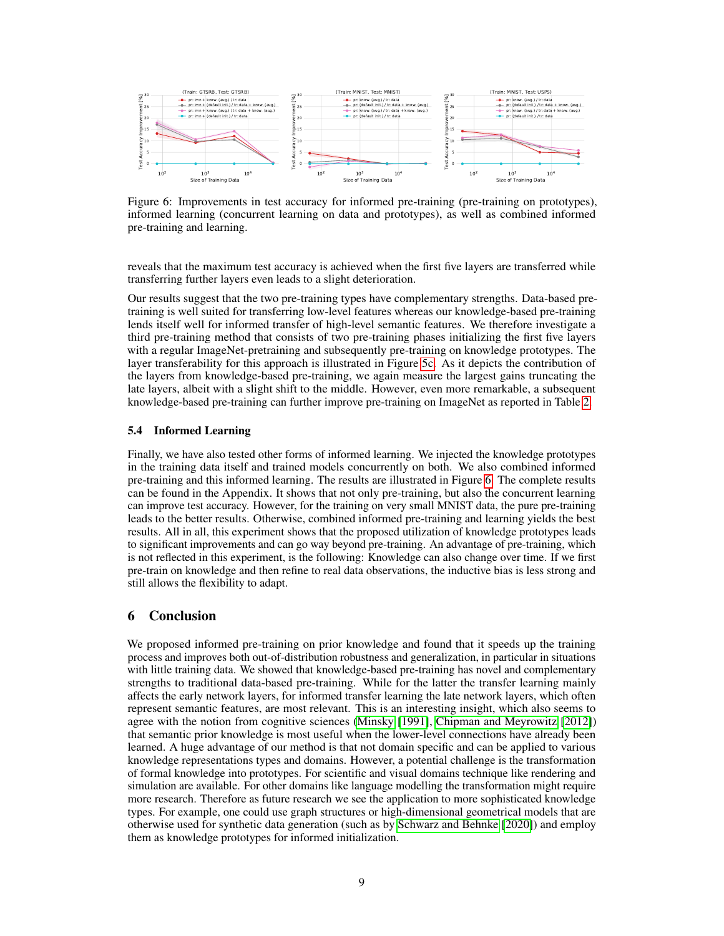<span id="page-8-0"></span>

Figure 6: Improvements in test accuracy for informed pre-training (pre-training on prototypes), informed learning (concurrent learning on data and prototypes), as well as combined informed pre-training and learning.

reveals that the maximum test accuracy is achieved when the first five layers are transferred while transferring further layers even leads to a slight deterioration.

Our results suggest that the two pre-training types have complementary strengths. Data-based pretraining is well suited for transferring low-level features whereas our knowledge-based pre-training lends itself well for informed transfer of high-level semantic features. We therefore investigate a third pre-training method that consists of two pre-training phases initializing the first five layers with a regular ImageNet-pretraining and subsequently pre-training on knowledge prototypes. The layer transferability for this approach is illustrated in Figure [5c.](#page-7-0) As it depicts the contribution of the layers from knowledge-based pre-training, we again measure the largest gains truncating the late layers, albeit with a slight shift to the middle. However, even more remarkable, a subsequent knowledge-based pre-training can further improve pre-training on ImageNet as reported in Table [2.](#page-7-1)

#### 5.4 Informed Learning

Finally, we have also tested other forms of informed learning. We injected the knowledge prototypes in the training data itself and trained models concurrently on both. We also combined informed pre-training and this informed learning. The results are illustrated in Figure [6.](#page-8-0) The complete results can be found in the Appendix. It shows that not only pre-training, but also the concurrent learning can improve test accuracy. However, for the training on very small MNIST data, the pure pre-training leads to the better results. Otherwise, combined informed pre-training and learning yields the best results. All in all, this experiment shows that the proposed utilization of knowledge prototypes leads to significant improvements and can go way beyond pre-training. An advantage of pre-training, which is not reflected in this experiment, is the following: Knowledge can also change over time. If we first pre-train on knowledge and then refine to real data observations, the inductive bias is less strong and still allows the flexibility to adapt.

### 6 Conclusion

We proposed informed pre-training on prior knowledge and found that it speeds up the training process and improves both out-of-distribution robustness and generalization, in particular in situations with little training data. We showed that knowledge-based pre-training has novel and complementary strengths to traditional data-based pre-training. While for the latter the transfer learning mainly affects the early network layers, for informed transfer learning the late network layers, which often represent semantic features, are most relevant. This is an interesting insight, which also seems to agree with the notion from cognitive sciences [\(Minsky](#page-10-18) [\[1991\]](#page-10-18), [Chipman and Meyrowitz](#page-9-17) [\[2012\]](#page-9-17)) that semantic prior knowledge is most useful when the lower-level connections have already been learned. A huge advantage of our method is that not domain specific and can be applied to various knowledge representations types and domains. However, a potential challenge is the transformation of formal knowledge into prototypes. For scientific and visual domains technique like rendering and simulation are available. For other domains like language modelling the transformation might require more research. Therefore as future research we see the application to more sophisticated knowledge types. For example, one could use graph structures or high-dimensional geometrical models that are otherwise used for synthetic data generation (such as by [Schwarz and Behnke](#page-10-19) [\[2020\]](#page-10-19)) and employ them as knowledge prototypes for informed initialization.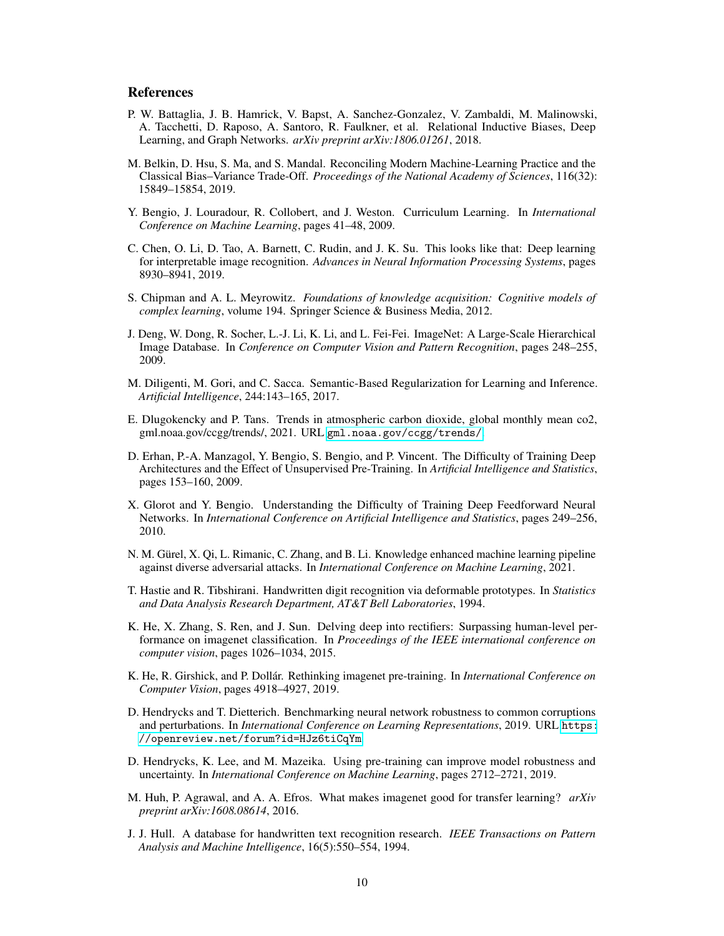# References

- <span id="page-9-4"></span>P. W. Battaglia, J. B. Hamrick, V. Bapst, A. Sanchez-Gonzalez, V. Zambaldi, M. Malinowski, A. Tacchetti, D. Raposo, A. Santoro, R. Faulkner, et al. Relational Inductive Biases, Deep Learning, and Graph Networks. *arXiv preprint arXiv:1806.01261*, 2018.
- <span id="page-9-16"></span>M. Belkin, D. Hsu, S. Ma, and S. Mandal. Reconciling Modern Machine-Learning Practice and the Classical Bias–Variance Trade-Off. *Proceedings of the National Academy of Sciences*, 116(32): 15849–15854, 2019.
- <span id="page-9-15"></span>Y. Bengio, J. Louradour, R. Collobert, and J. Weston. Curriculum Learning. In *International Conference on Machine Learning*, pages 41–48, 2009.
- <span id="page-9-14"></span>C. Chen, O. Li, D. Tao, A. Barnett, C. Rudin, and J. K. Su. This looks like that: Deep learning for interpretable image recognition. *Advances in Neural Information Processing Systems*, pages 8930–8941, 2019.
- <span id="page-9-17"></span>S. Chipman and A. L. Meyrowitz. *Foundations of knowledge acquisition: Cognitive models of complex learning*, volume 194. Springer Science & Business Media, 2012.
- <span id="page-9-9"></span>J. Deng, W. Dong, R. Socher, L.-J. Li, K. Li, and L. Fei-Fei. ImageNet: A Large-Scale Hierarchical Image Database. In *Conference on Computer Vision and Pattern Recognition*, pages 248–255, 2009.
- <span id="page-9-3"></span>M. Diligenti, M. Gori, and C. Sacca. Semantic-Based Regularization for Learning and Inference. *Artificial Intelligence*, 244:143–165, 2017.
- <span id="page-9-2"></span>E. Dlugokencky and P. Tans. Trends in atmospheric carbon dioxide, global monthly mean co2, gml.noaa.gov/ccgg/trends/, 2021. URL <gml.noaa.gov/ccgg/trends/>.
- <span id="page-9-8"></span>D. Erhan, P.-A. Manzagol, Y. Bengio, S. Bengio, and P. Vincent. The Difficulty of Training Deep Architectures and the Effect of Unsupervised Pre-Training. In *Artificial Intelligence and Statistics*, pages 153–160, 2009.
- <span id="page-9-6"></span>X. Glorot and Y. Bengio. Understanding the Difficulty of Training Deep Feedforward Neural Networks. In *International Conference on Artificial Intelligence and Statistics*, pages 249–256, 2010.
- <span id="page-9-5"></span>N. M. Gürel, X. Qi, L. Rimanic, C. Zhang, and B. Li. Knowledge enhanced machine learning pipeline against diverse adversarial attacks. In *International Conference on Machine Learning*, 2021.
- <span id="page-9-13"></span>T. Hastie and R. Tibshirani. Handwritten digit recognition via deformable prototypes. In *Statistics and Data Analysis Research Department, AT&T Bell Laboratories*, 1994.
- <span id="page-9-7"></span>K. He, X. Zhang, S. Ren, and J. Sun. Delving deep into rectifiers: Surpassing human-level performance on imagenet classification. In *Proceedings of the IEEE international conference on computer vision*, pages 1026–1034, 2015.
- <span id="page-9-11"></span>K. He, R. Girshick, and P. Dollár. Rethinking imagenet pre-training. In *International Conference on Computer Vision*, pages 4918–4927, 2019.
- <span id="page-9-0"></span>D. Hendrycks and T. Dietterich. Benchmarking neural network robustness to common corruptions and perturbations. In *International Conference on Learning Representations*, 2019. URL [https:](https://openreview.net/forum?id=HJz6tiCqYm) [//openreview.net/forum?id=HJz6tiCqYm](https://openreview.net/forum?id=HJz6tiCqYm).
- <span id="page-9-12"></span>D. Hendrycks, K. Lee, and M. Mazeika. Using pre-training can improve model robustness and uncertainty. In *International Conference on Machine Learning*, pages 2712–2721, 2019.
- <span id="page-9-10"></span>M. Huh, P. Agrawal, and A. A. Efros. What makes imagenet good for transfer learning? *arXiv preprint arXiv:1608.08614*, 2016.
- <span id="page-9-1"></span>J. J. Hull. A database for handwritten text recognition research. *IEEE Transactions on Pattern Analysis and Machine Intelligence*, 16(5):550–554, 1994.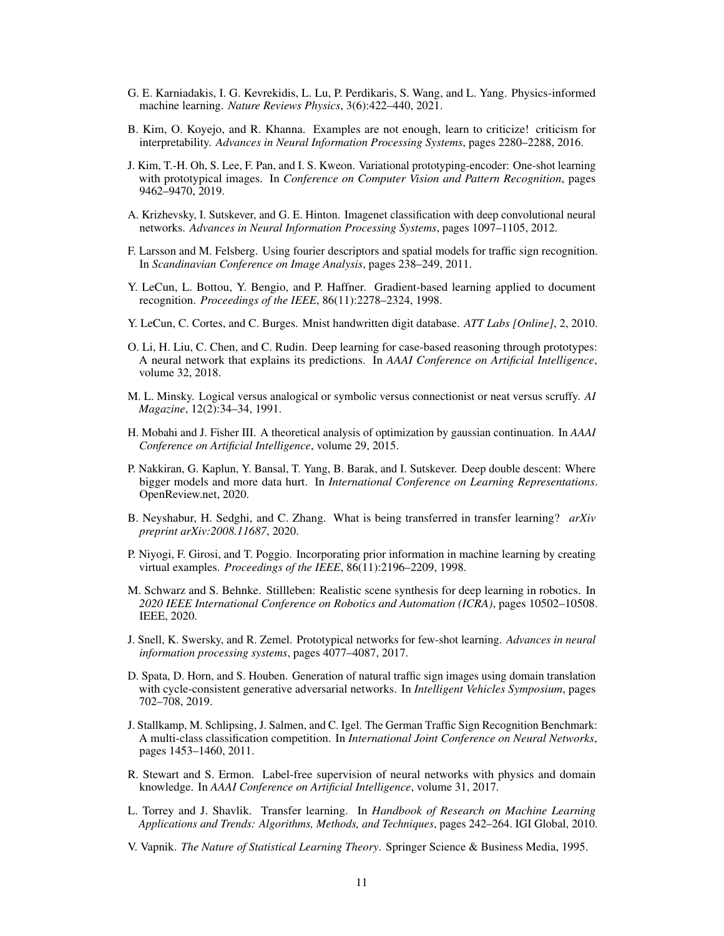- <span id="page-10-5"></span>G. E. Karniadakis, I. G. Kevrekidis, L. Lu, P. Perdikaris, S. Wang, and L. Yang. Physics-informed machine learning. *Nature Reviews Physics*, 3(6):422–440, 2021.
- <span id="page-10-10"></span>B. Kim, O. Koyejo, and R. Khanna. Examples are not enough, learn to criticize! criticism for interpretability. *Advances in Neural Information Processing Systems*, pages 2280–2288, 2016.
- <span id="page-10-9"></span>J. Kim, T.-H. Oh, S. Lee, F. Pan, and I. S. Kweon. Variational prototyping-encoder: One-shot learning with prototypical images. In *Conference on Computer Vision and Pattern Recognition*, pages 9462–9470, 2019.
- <span id="page-10-15"></span>A. Krizhevsky, I. Sutskever, and G. E. Hinton. Imagenet classification with deep convolutional neural networks. *Advances in Neural Information Processing Systems*, pages 1097–1105, 2012.
- <span id="page-10-7"></span>F. Larsson and M. Felsberg. Using fourier descriptors and spatial models for traffic sign recognition. In *Scandinavian Conference on Image Analysis*, pages 238–249, 2011.
- <span id="page-10-16"></span>Y. LeCun, L. Bottou, Y. Bengio, and P. Haffner. Gradient-based learning applied to document recognition. *Proceedings of the IEEE*, 86(11):2278–2324, 1998.
- <span id="page-10-1"></span>Y. LeCun, C. Cortes, and C. Burges. Mnist handwritten digit database. *ATT Labs [Online]*, 2, 2010.
- <span id="page-10-11"></span>O. Li, H. Liu, C. Chen, and C. Rudin. Deep learning for case-based reasoning through prototypes: A neural network that explains its predictions. In *AAAI Conference on Artificial Intelligence*, volume 32, 2018.
- <span id="page-10-18"></span>M. L. Minsky. Logical versus analogical or symbolic versus connectionist or neat versus scruffy. *AI Magazine*, 12(2):34–34, 1991.
- <span id="page-10-13"></span>H. Mobahi and J. Fisher III. A theoretical analysis of optimization by gaussian continuation. In *AAAI Conference on Artificial Intelligence*, volume 29, 2015.
- <span id="page-10-14"></span>P. Nakkiran, G. Kaplun, Y. Bansal, T. Yang, B. Barak, and I. Sutskever. Deep double descent: Where bigger models and more data hurt. In *International Conference on Learning Representations*. OpenReview.net, 2020.
- <span id="page-10-6"></span>B. Neyshabur, H. Sedghi, and C. Zhang. What is being transferred in transfer learning? *arXiv preprint arXiv:2008.11687*, 2020.
- <span id="page-10-3"></span>P. Niyogi, F. Girosi, and T. Poggio. Incorporating prior information in machine learning by creating virtual examples. *Proceedings of the IEEE*, 86(11):2196–2209, 1998.
- <span id="page-10-19"></span>M. Schwarz and S. Behnke. Stillleben: Realistic scene synthesis for deep learning in robotics. In *2020 IEEE International Conference on Robotics and Automation (ICRA)*, pages 10502–10508. IEEE, 2020.
- <span id="page-10-12"></span>J. Snell, K. Swersky, and R. Zemel. Prototypical networks for few-shot learning. *Advances in neural information processing systems*, pages 4077–4087, 2017.
- <span id="page-10-8"></span>D. Spata, D. Horn, and S. Houben. Generation of natural traffic sign images using domain translation with cycle-consistent generative adversarial networks. In *Intelligent Vehicles Symposium*, pages 702–708, 2019.
- <span id="page-10-0"></span>J. Stallkamp, M. Schlipsing, J. Salmen, and C. Igel. The German Traffic Sign Recognition Benchmark: A multi-class classification competition. In *International Joint Conference on Neural Networks*, pages 1453–1460, 2011.
- <span id="page-10-4"></span>R. Stewart and S. Ermon. Label-free supervision of neural networks with physics and domain knowledge. In *AAAI Conference on Artificial Intelligence*, volume 31, 2017.
- <span id="page-10-17"></span>L. Torrey and J. Shavlik. Transfer learning. In *Handbook of Research on Machine Learning Applications and Trends: Algorithms, Methods, and Techniques*, pages 242–264. IGI Global, 2010.
- <span id="page-10-2"></span>V. Vapnik. *The Nature of Statistical Learning Theory*. Springer Science & Business Media, 1995.